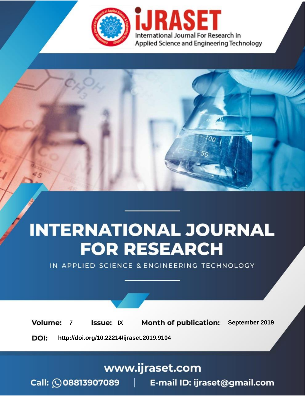

# **INTERNATIONAL JOURNAL FOR RESEARCH**

IN APPLIED SCIENCE & ENGINEERING TECHNOLOGY

**Month of publication: Volume: Issue: IX** September 2019  $\overline{7}$ DOI: http://doi.org/10.22214/ijraset.2019.9104

www.ijraset.com

 $Call: \bigcirc$ 08813907089 E-mail ID: ijraset@gmail.com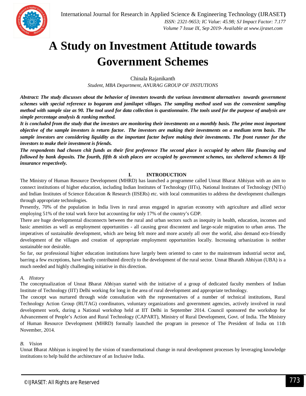### **A Study on Investment Attitude towards Government Schemes**

Chinala Rajanikanth

*Student, MBA Department, ANURAG GROUP OF INSTUTIONS*

*Abstract: The study discusses about the behavior of investors towards the various investment alternatives towards government schemes with special reference to bogaram and jamilapet villages. The sampling method used was the convenient sampling method with sample size as 90. The tool used for data collection is questionnaire. The tools used for the purpose of analysis are simple percentage analysis & ranking method.*

*It is concluded from the study that the investors are monitoring their investments on a monthly basis. The prime most important objective of the sample investors is return factor. The investors are making their investments on a medium term basis. The sample investors are considering liquidity as the important factor before making their investments. The front runner for the investors to make their investment is friends.*

*The respondents had chosen chit funds as their first preference The second place is occupied by others like financing and followed by bank deposits. The fourth, fifth & sixth places are occupied by government schemes, tax sheltered schemes & life insurance respectively.*

#### **I. INTRODUCTION**

The Ministry of Human Resource Development (MHRD) has launched a programme called Unnat Bharat Abhiyan with an aim to connect institutions of higher education, including Indian Institutes of Technology (IITs), National Institutes of Technology (NITs) and Indian Institutes of Science Education & Research (IISERs) etc. with local communities to address the development challenges through appropriate technologies.

Presently, 70% of the population in India lives in rural areas engaged in agrarian economy with agriculture and allied sector employing 51% of the total work force but accounting for only 17% of the country's GDP.

There are huge developmental disconnects between the rural and urban sectors such as inequity in health, education, incomes and basic amenities as well as employment opportunities - all causing great discontent and large-scale migration to urban areas. The imperatives of sustainable development, which are being felt more and more acutely all over the world, also demand eco-friendly development of the villages and creation of appropriate employment opportunities locally. Increasing urbanization is neither sustainable nor desirable.

So far, our professional higher education institutions have largely been oriented to cater to the mainstream industrial sector and, barring a few exceptions, have hardly contributed directly to the development of the rural sector. Unnat Bharath Abhiyan (UBA) is a much needed and highly challenging initiative in this direction.

#### *A. History*

The conceptualization of Unnat Bharat Abhiyan started with the initiative of a group of dedicated faculty members of Indian Institute of Technology (IIT) Delhi working for long in the area of rural development and appropriate technology.

The concept was nurtured through wide consultation with the representatives of a number of technical institutions, Rural Technology Action Group (RUTAG) coordinators, voluntary organizations and government agencies, actively involved in rural development work, during a National workshop held at IIT Delhi in September 2014. Council sponsored the workshop for Advancement of People's Action and Rural Technology (CAPART), Ministry of Rural Development, Govt. of India. The Ministry of Human Resource Development (MHRD) formally launched the program in presence of The President of India on 11th November, 2014.

#### *B. Vision*

Unnat Bharat Abhiyan is inspired by the vision of transformational change in rural development processes by leveraging knowledge institutions to help build the architecture of an Inclusive India.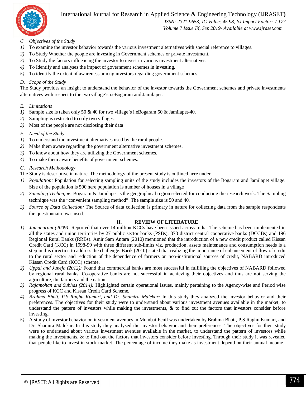

#### International Journal for Research in Applied Science & Engineering Technology (IJRASET**)**

 *ISSN: 2321-9653; IC Value: 45.98; SJ Impact Factor: 7.177 Volume 7 Issue IX, Sep 2019- Available at www.ijraset.com*

- *C. Objectives of the Study*
- *1)* To examine the investor behavior towards the various investment alternatives with special reference to villages.
- *2)* To Study Whether the people are investing in Government schemes or private investment.
- *3*) To Study the factors influencing the investor to invest in various investment alternatives.
- *4)* To Identify and analyses the impact of government schemes in investing.
- *5)* To identify the extent of awareness among investors regarding government schemes.

#### *D. Scope of the Study*

The Study provides an insight to understand the behavior of the investor towards the Government schemes and private investments alternatives with respect to the two village's i.eBogaram and Jamilapet.

#### *E. Limitations*

- *1*) Sample size is taken only 50 & 40 for two village's i.eBogaram 50 & Jamilapet-40.
- *2)* Sampling is restricted to only two villages.
- *3)* Most of the people are not disclosing their data

#### *F. Need of the Study*

- *1)* To understand the investment alternatives used by the rural people.
- *2)* Make them aware regarding the government alternative investment schemes.
- *3)* To know about how they are utilizing the Government schemes.
- *4)* To make them aware benefits of government schemes.

#### *G. Research Methodology*

The Study is descriptive in nature. The methodology of the present study is outlined here under.

- *1) Population:* Population for selecting sampling units of the study includes the investors of the Bogaram and Jamilapet village. Size of the population is 500 here population is number of houses in a village
- *2) Sampling Technique:* Bogaram & Jamilapet is the geographical region selected for conducting the research work. The Sampling technique was the "convenient sampling method". The sample size is 50 and 40.
- *3) Source of Data Collection:* The Source of data collection is primary in nature for collecting data from the sample respondents the questionnaire was used.

#### **II. REVIEW OF LITERATURE**

- *1) Jamunarani (2009):* Reported that over 14 million KCCs have been issued across India. The scheme has been implemented in all the states and union territories by 27 public sector banks (PSBs), 373 district central cooperative banks (DCCBs) and 196 Regional Rural Banks (RRBs). Amir Sam Antara (2010) mentioned that the introduction of a new credit product called Kissan Credit Card (KCC) in 1998-99 with three different sub-limits viz. production, assets maintenance and consumption needs is a step in this direction to address the challenge. Barik (2010) stated that realizing the importance of enhancement of flow of credit to the rural sector and reduction of the dependence of farmers on non-institutional sources of credit, NABARD introduced Kissan Credit Card (KCC) scheme.
- *2) Uppal and Juneja (2012):* Found that commercial banks are most successful in fulfilling the objectives of NABARD followed by regional rural banks. Co-operative banks are not successful in achieving their objectives and thus are not serving the agriculture, the farmers and the nation.
- *3) Rajamohan and Subhas (2014):* Highlighted certain operational issues, mainly pertaining to the Agency-wise and Period wise progress of KCC and Kissan Credit Card Scheme.
- *4) Brahma Bhatt, P.S Raghu Kumari, and Dr. Shamira Malekar:* In this study they analyzed the investor behavior and their preferences. The objectives for their study were to understand about various investment avenues available in the market, to understand the pattern of investors while making the investments, & to find out the factors that investors consider before investing.
- *5)* A study of investor behavior on investment avenues in Mumbai Fenil was undertaken by Brahma Bhatt, P.S Raghu Kumari, and Dr. Shamira Malekar. In this study they analyzed the investor behavior and their preferences. The objectives for their study were to understand about various investment avenues available in the market, to understand the pattern of investors while making the investments, & to find out the factors that investors consider before investing. Through their study it was revealed that people like to invest in stock market. The percentage of income they make as investment depend on their annual income.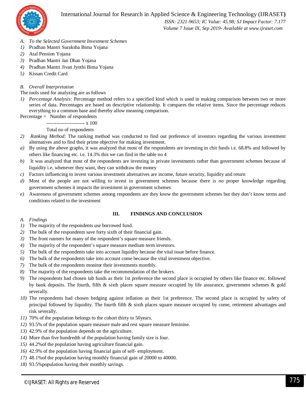

 *ISSN: 2321-9653; IC Value: 45.98; SJ Impact Factor: 7.177 Volume 7 Issue IX, Sep 2019- Available at www.ijraset.com*

- *A. To the Selected Government Investment Schemes*
- *1)* Pradhan Mantri Suraksha Bima Yojana
- *2)* Atal Pension Yojana
- *3)* Pradhan Mantri Jan Dhan Yojana
- *4)* Pradhan Mantri Jivan Jyothi Bima Yojana
- *5)* Kissan Credit Card

#### *B. Overall Interpretation*

The tools used for analyzing are as follows

*1) Percentage Analysis:* Percentage method refers to a specified kind which is used in making comparison between two or more series of data. Percentages are based on descriptive relationship. It compares the relative items. Since the percentage reduces everything to a common base and thereby allow meaning comparison.

 $Percentage = Number of respondents$ 

----------------------- x 100

#### Total no of respondents

- *2) Ranking Method:* The ranking method was conducted to find out preference of investors regarding the various investment alternatives and to find their prime objective for making investment.
- *a*) By using the above graphs, it was analyzed that most of the respondents are investing in chit funds i.e. 68.8% and followed by others like financing etc. i.e. 14.3% this we can find in the table no 4
- *b)* It was analyzed that most of the respondents are investing in private investments rather than government schemes because of liquidity i.e. whenever they want, they can withdraw the money
- *c)* Factors influencing to invest various investment alternatives are income, future security, liquidity and return
- *d*) Most of the people are not willing to invest in government schemes because there is no proper knowledge regarding government schemes it impacts the investment in government schemes
- *e)* Awareness of government schemes among respondents are they know the government schemes but they don't know terms and conditions related to the investment

#### *A. Findings*

#### **III. FINDINGS AND CONCLUSION**

- *1)* The majority of the respondents use borrowed fund.
- *2)* The bulk of the respondents save forty sixth of their financial gain.
- *3)* The front runners for many of the respondent's square measure friends.
- *4)* The majority of the respondent's square measure medium term investors.
- *5)* The bulk of the respondents take into account liquidity because the vital issue before finance.
- *6)* The bulk of the respondents take into account come because the vital investment objective.
- *7)* The bulk of the respondents monitor their investments monthly.
- *8)* The majority of the respondents take the recommendation of the brokers.
- *9)* The respondents had chosen tab funds as their 1st preference the second place is occupied by others like finance etc. followed by bank deposits. The fourth, fifth & sixth places square measure occupied by life assurance, government schemes & gold severally.
- *10)* The respondents had chosen hedging against inflation as their 1st preference. The second place is occupied by safety of principal followed by liquidity. The fourth fifth & sixth places square measure occupied by come, retirement advantages and risk severally.
- *11)* 70% of the population belongs to the cohort thirty to 50years.
- *12)* 93.5% of the population square measure male and rest square measure feminine.
- *13)* 42.9% of the population depends on the agriculture.
- *14)* More than five hundredth of the population having family size is four.
- *15)* 44.2%of the population having agriculture financial gain.
- *16)* 42.9% of the population having financial gain of self- employment.
- *17)* 48.1%of the population having monthly financial gain of 20000 to 40000.
- *18)* 93.5%population having their monthly savings.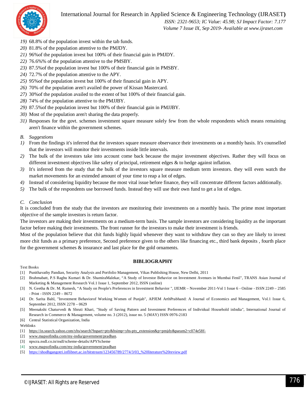International Journal for Research in Applied Science & Engineering Technology (IJRASET**)**



 *ISSN: 2321-9653; IC Value: 45.98; SJ Impact Factor: 7.177 Volume 7 Issue IX, Sep 2019- Available at www.ijraset.com*

- *19)* 68.8% of the population invest within the tab funds.
- *20)* 81.8% of the population attentive to the PMJDY.
- *21)* 96%of the population invest but 100% of their financial gain in PMJDY.
- *22)* 76.6%% of the population attentive to the PMSBY.
- *23)* 87.5%of the population invest but 100% of their financial gain in PMSBY.
- *24)* 72.7% of the population attentive to the APY.
- *25)* 95%of the population invest but 100% of their financial gain in APY.
- *26)* 70% of the population aren't availed the power of Kissan Mastercard.
- *27)* 30%of the population availed to the extent of but 100% of their financial gain.
- *28)* 74% of the population attentive to the PMJJBY.
- *29)* 87.5%of the population invest but 100% of their financial gain in PMJJBY.
- *30)* Most of the population aren't sharing the data properly.
- *31)* Responses for the govt. schemes investment square measure solely few from the whole respondents which means remaining aren't finance within the government schemes.

#### *B. Suggestions*

- *1)* From the findings it's inferred that the investors square measure observance their investments on a monthly basis. It's counselled that the investors will monitor their investments inside little intervals.
- *2)* The bulk of the investors take into account come back because the major investment objectives. Rather they will focus on different investment objectives like safety of principal, retirement edges & to hedge against inflation.
- *3)* It's inferred from the study that the bulk of the investors square measure medium term investors. they will even watch the market movements for an extended amount of your time to reap a lot of edges.
- *4)* Instead of considering liquidity because the most vital issue before finance, they will concentrate different factors additionally.
- *5)* The bulk of the respondents use borrowed funds. Instead they will use their own fund to get a lot of edges.

#### *C. Conclusion*

It is concluded from the study that the investors are monitoring their investments on a monthly basis. The prime most important objective of the sample investors is return factor.

The investors are making their investments on a medium-term basis. The sample investors are considering liquidity as the important factor before making their investments. The front runner for the investors to make their investment is friends.

Most of the population believe that chit funds highly liquid whenever they want to withdraw they can so they are likely to invest more chit funds as a primary preference, Second preference given to the others like financing etc., third bank deposits , fourth place for the government schemes & insurance and last place for the gold ornaments.

#### **BIBLIOGRAPHY**

#### Text Books

- [1] Punithavathy Pandian, Security Analysis and Portfolio Management, Vikas Publishing House, New Delhi, 2011
- [2] Brahmabatt, P.S Raghu Kumari & Dr. ShamiraMalekar, "A Study of Investor Behavior on Investment Avenues in Mumbai Fenil", TRANS Asian Journal of Marketing & Management Research Vol.1 Issue 1, September 2012, ISSN (online)
- [3] N. Geetha & Dr. M. Ramesh, "A Study on People's Preferences in Investment Behavior ", IJEMR November 2011-Vol 1 Issue 6 Online ISSN 2249 2585 - Print - ISSN 2249 – 8672
- [4] Dr. Sarita Bahl, "Investment Behaviorof Working Women of Punjab", APJEM ArthPrabhand: A Journal of Economics and Management, Vol.1 Issue 6, September 2012, ISSN 2278 – 0629
- [5] Meenakshi Chaturvedi & Shruti Khari, "Study of Saving Pattern and Investment Preferences of Individual Household inIndia", International Journal of Research in Commerce & Management, volume no. 3 (2012), issue no. 5 (MAY) ISSN 0976-2183
- [6] Central Statistical Organization, India

Weblinks

- [1] https://in.search.yahoo.com/yhs/search?hspart=pty&hsimp=yhs-pty\_extension&p=pmjdy&param2=c074e58f-
- [2] www.mapsofindia.com/my-india/government/pradhan.
- [3] npscra.nsdl.co.in/nsdl/scheme-details/APYScheme
- [4] www.mapsofindia.com/my-india/government/pradhan
- [5] https://shodhgangotri.inflibnet.ac.in/bitstream/123456789/2774/3/03\_%20literature%20review.pdf